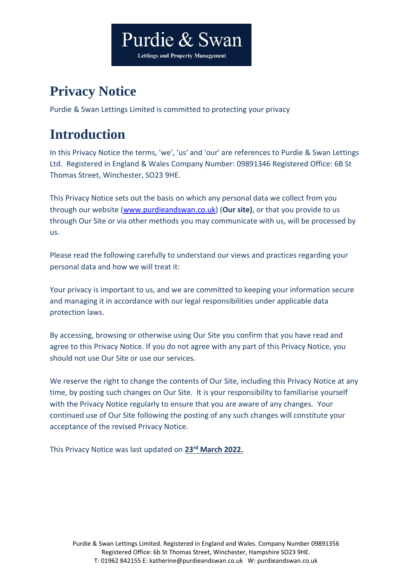# Purdie & Swan

**Lettings and Property Management** 

# **Privacy Notice**

Purdie & Swan Lettings Limited is committed to protecting your privacy

# **Introduction**

In this Privacy Notice the terms, 'we', 'us' and 'our' are references to Purdie & Swan Lettings Ltd. Registered in England & Wales Company Number: 09891346 Registered Office: 6B St Thomas Street, Winchester, SO23 9HE.

This Privacy Notice sets out the basis on which any personal data we collect from you through our website [\(www.purdieandswan.co.uk\)](http://www.purdieandswan.co.uk/) (**Our site)**, or that you provide to us through Our Site or via other methods you may communicate with us, will be processed by us.

Please read the following carefully to understand our views and practices regarding your personal data and how we will treat it:

Your privacy is important to us, and we are committed to keeping your information secure and managing it in accordance with our legal responsibilities under applicable data protection laws.

By accessing, browsing or otherwise using Our Site you confirm that you have read and agree to this Privacy Notice. If you do not agree with any part of this Privacy Notice, you should not use Our Site or use our services.

We reserve the right to change the contents of Our Site, including this Privacy Notice at any time, by posting such changes on Our Site. It is your responsibility to familiarise yourself with the Privacy Notice regularly to ensure that you are aware of any changes. Your continued use of Our Site following the posting of any such changes will constitute your acceptance of the revised Privacy Notice.

This Privacy Notice was last updated on **23rd March 2022.**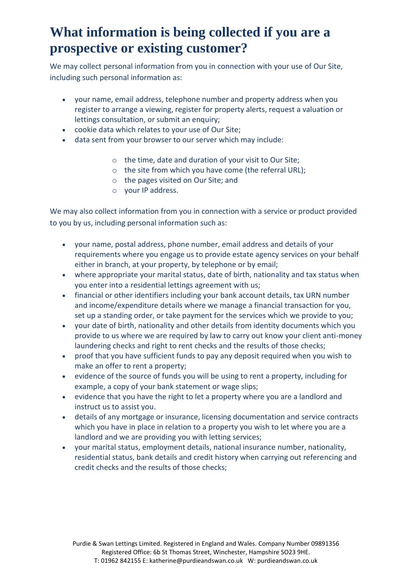### **What information is being collected if you are a prospective or existing customer?**

We may collect personal information from you in connection with your use of Our Site, including such personal information as:

- your name, email address, telephone number and property address when you register to arrange a viewing, register for property alerts, request a valuation or lettings consultation, or submit an enquiry;
- cookie data which relates to your use of Our Site;
- data sent from your browser to our server which may include:
	- o the time, date and duration of your visit to Our Site;
	- o the site from which you have come (the referral URL);
	- o the pages visited on Our Site; and
	- o your IP address.

We may also collect information from you in connection with a service or product provided to you by us, including personal information such as:

- your name, postal address, phone number, email address and details of your requirements where you engage us to provide estate agency services on your behalf either in branch, at your property, by telephone or by email;
- where appropriate your marital status, date of birth, nationality and tax status when you enter into a residential lettings agreement with us;
- financial or other identifiers including your bank account details, tax URN number and income/expenditure details where we manage a financial transaction for you, set up a standing order, or take payment for the services which we provide to you;
- your date of birth, nationality and other details from identity documents which you provide to us where we are required by law to carry out know your client anti-money laundering checks and right to rent checks and the results of those checks;
- proof that you have sufficient funds to pay any deposit required when you wish to make an offer to rent a property;
- evidence of the source of funds you will be using to rent a property, including for example, a copy of your bank statement or wage slips;
- evidence that you have the right to let a property where you are a landlord and instruct us to assist you.
- details of any mortgage or insurance, licensing documentation and service contracts which you have in place in relation to a property you wish to let where you are a landlord and we are providing you with letting services;
- your marital status, employment details, national insurance number, nationality, residential status, bank details and credit history when carrying out referencing and credit checks and the results of those checks;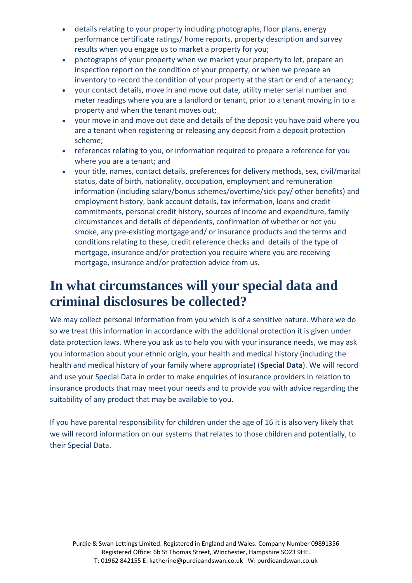- details relating to your property including photographs, floor plans, energy performance certificate ratings/ home reports, property description and survey results when you engage us to market a property for you;
- photographs of your property when we market your property to let, prepare an inspection report on the condition of your property, or when we prepare an inventory to record the condition of your property at the start or end of a tenancy;
- your contact details, move in and move out date, utility meter serial number and meter readings where you are a landlord or tenant, prior to a tenant moving in to a property and when the tenant moves out;
- your move in and move out date and details of the deposit you have paid where you are a tenant when registering or releasing any deposit from a deposit protection scheme;
- references relating to you, or information required to prepare a reference for you where you are a tenant; and
- your title, names, contact details, preferences for delivery methods, sex, civil/marital status, date of birth, nationality, occupation, employment and remuneration information (including salary/bonus schemes/overtime/sick pay/ other benefits) and employment history, bank account details, tax information, loans and credit commitments, personal credit history, sources of income and expenditure, family circumstances and details of dependents, confirmation of whether or not you smoke, any pre-existing mortgage and/ or insurance products and the terms and conditions relating to these, credit reference checks and details of the type of mortgage, insurance and/or protection you require where you are receiving mortgage, insurance and/or protection advice from us.

### **In what circumstances will your special data and criminal disclosures be collected?**

We may collect personal information from you which is of a sensitive nature. Where we do so we treat this information in accordance with the additional protection it is given under data protection laws. Where you ask us to help you with your insurance needs, we may ask you information about your ethnic origin, your health and medical history (including the health and medical history of your family where appropriate) (**Special Data**). We will record and use your Special Data in order to make enquiries of insurance providers in relation to insurance products that may meet your needs and to provide you with advice regarding the suitability of any product that may be available to you.

If you have parental responsibility for children under the age of 16 it is also very likely that we will record information on our systems that relates to those children and potentially, to their Special Data.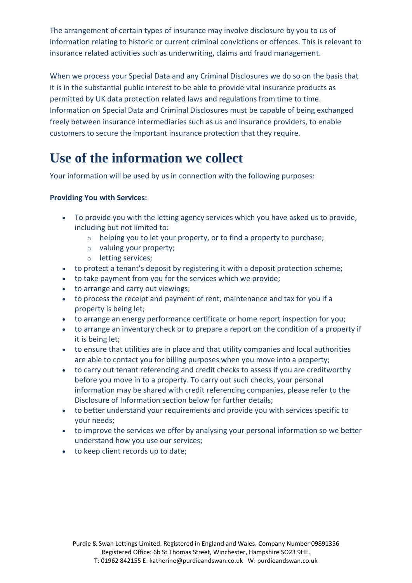The arrangement of certain types of insurance may involve disclosure by you to us of information relating to historic or current criminal convictions or offences. This is relevant to insurance related activities such as underwriting, claims and fraud management.

When we process your Special Data and any Criminal Disclosures we do so on the basis that it is in the substantial public interest to be able to provide vital insurance products as permitted by UK data protection related laws and regulations from time to time. Information on Special Data and Criminal Disclosures must be capable of being exchanged freely between insurance intermediaries such as us and insurance providers, to enable customers to secure the important insurance protection that they require.

### **Use of the information we collect**

Your information will be used by us in connection with the following purposes:

#### **Providing You with Services:**

- To provide you with the letting agency services which you have asked us to provide, including but not limited to:
	- $\circ$  helping you to let your property, or to find a property to purchase;
	- o valuing your property;
	- o letting services;
- to protect a tenant's deposit by registering it with a deposit protection scheme;
- to take payment from you for the services which we provide;
- to arrange and carry out viewings;
- to process the receipt and payment of rent, maintenance and tax for you if a property is being let;
- to arrange an energy performance certificate or home report inspection for you;
- to arrange an inventory check or to prepare a report on the condition of a property if it is being let;
- to ensure that utilities are in place and that utility companies and local authorities are able to contact you for billing purposes when you move into a property;
- to carry out tenant referencing and credit checks to assess if you are creditworthy before you move in to a property. To carry out such checks, your personal information may be shared with credit referencing companies, please refer to the Disclosure of Information section below for further details;
- to better understand your requirements and provide you with services specific to your needs;
- to improve the services we offer by analysing your personal information so we better understand how you use our services;
- to keep client records up to date;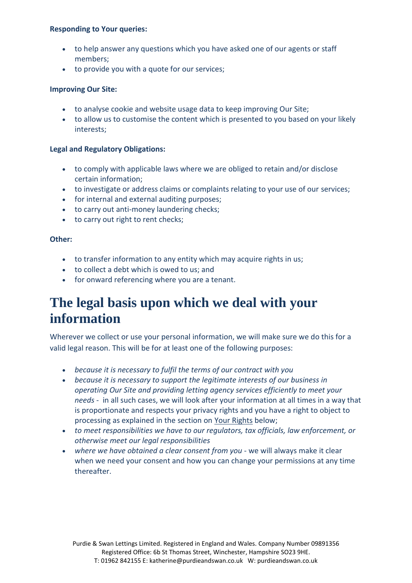#### **Responding to Your queries:**

- to help answer any questions which you have asked one of our agents or staff members;
- to provide you with a quote for our services;

#### **Improving Our Site:**

- to analyse cookie and website usage data to keep improving Our Site;
- to allow us to customise the content which is presented to you based on your likely interests;

#### **Legal and Regulatory Obligations:**

- to comply with applicable laws where we are obliged to retain and/or disclose certain information;
- to investigate or address claims or complaints relating to your use of our services;
- for internal and external auditing purposes;
- to carry out anti-money laundering checks;
- to carry out right to rent checks;

#### **Other:**

- to transfer information to any entity which may acquire rights in us;
- to collect a debt which is owed to us; and
- for onward referencing where you are a tenant.

### **The legal basis upon which we deal with your information**

Wherever we collect or use your personal information, we will make sure we do this for a valid legal reason. This will be for at least one of the following purposes:

- *because it is necessary to fulfil the terms of our contract with you*
- *because it is necessary to support the legitimate interests of our business in operating Our Site and providing letting agency services efficiently to meet your needs* - in all such cases, we will look after your information at all times in a way that is proportionate and respects your privacy rights and you have a right to object to processing as explained in the section on Your Rights below;
- *to meet responsibilities we have to our regulators, tax officials, law enforcement, or otherwise meet our legal responsibilities*
- *where we have obtained a clear consent from you* we will always make it clear when we need your consent and how you can change your permissions at any time thereafter.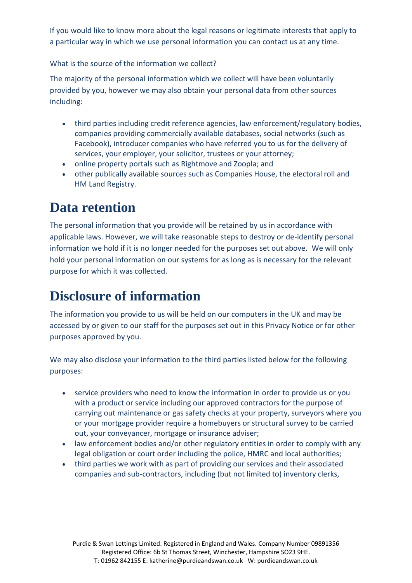If you would like to know more about the legal reasons or legitimate interests that apply to a particular way in which we use personal information you can contact us at any time.

What is the source of the information we collect?

The majority of the personal information which we collect will have been voluntarily provided by you, however we may also obtain your personal data from other sources including:

- third parties including credit reference agencies, law enforcement/regulatory bodies, companies providing commercially available databases, social networks (such as Facebook), introducer companies who have referred you to us for the delivery of services, your employer, your solicitor, trustees or your attorney;
- online property portals such as Rightmove and Zoopla; and
- other publically available sources such as Companies House, the electoral roll and HM Land Registry.

### **Data retention**

The personal information that you provide will be retained by us in accordance with applicable laws. However, we will take reasonable steps to destroy or de-identify personal information we hold if it is no longer needed for the purposes set out above. We will only hold your personal information on our systems for as long as is necessary for the relevant purpose for which it was collected.

### **Disclosure of information**

The information you provide to us will be held on our computers in the UK and may be accessed by or given to our staff for the purposes set out in this Privacy Notice or for other purposes approved by you.

We may also disclose your information to the third parties listed below for the following purposes:

- service providers who need to know the information in order to provide us or you with a product or service including our approved contractors for the purpose of carrying out maintenance or gas safety checks at your property, surveyors where you or your mortgage provider require a homebuyers or structural survey to be carried out, your conveyancer, mortgage or insurance adviser;
- law enforcement bodies and/or other regulatory entities in order to comply with any legal obligation or court order including the police, HMRC and local authorities;
- third parties we work with as part of providing our services and their associated companies and sub-contractors, including (but not limited to) inventory clerks,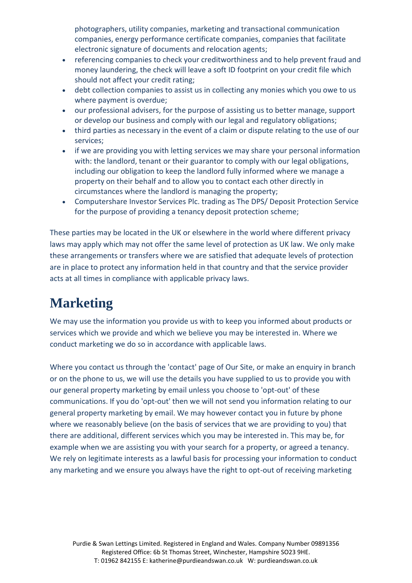photographers, utility companies, marketing and transactional communication companies, energy performance certificate companies, companies that facilitate electronic signature of documents and relocation agents;

- referencing companies to check your creditworthiness and to help prevent fraud and money laundering, the check will leave a soft ID footprint on your credit file which should not affect your credit rating;
- debt collection companies to assist us in collecting any monies which you owe to us where payment is overdue;
- our professional advisers, for the purpose of assisting us to better manage, support or develop our business and comply with our legal and regulatory obligations;
- third parties as necessary in the event of a claim or dispute relating to the use of our services;
- if we are providing you with letting services we may share your personal information with: the landlord, tenant or their guarantor to comply with our legal obligations, including our obligation to keep the landlord fully informed where we manage a property on their behalf and to allow you to contact each other directly in circumstances where the landlord is managing the property;
- Computershare Investor Services Plc. trading as The DPS/ Deposit Protection Service for the purpose of providing a tenancy deposit protection scheme;

These parties may be located in the UK or elsewhere in the world where different privacy laws may apply which may not offer the same level of protection as UK law. We only make these arrangements or transfers where we are satisfied that adequate levels of protection are in place to protect any information held in that country and that the service provider acts at all times in compliance with applicable privacy laws.

# **Marketing**

We may use the information you provide us with to keep you informed about products or services which we provide and which we believe you may be interested in. Where we conduct marketing we do so in accordance with applicable laws.

Where you contact us through the 'contact' page of Our Site, or make an enquiry in branch or on the phone to us, we will use the details you have supplied to us to provide you with our general property marketing by email unless you choose to 'opt-out' of these communications. If you do 'opt-out' then we will not send you information relating to our general property marketing by email. We may however contact you in future by phone where we reasonably believe (on the basis of services that we are providing to you) that there are additional, different services which you may be interested in. This may be, for example when we are assisting you with your search for a property, or agreed a tenancy. We rely on legitimate interests as a lawful basis for processing your information to conduct any marketing and we ensure you always have the right to opt-out of receiving marketing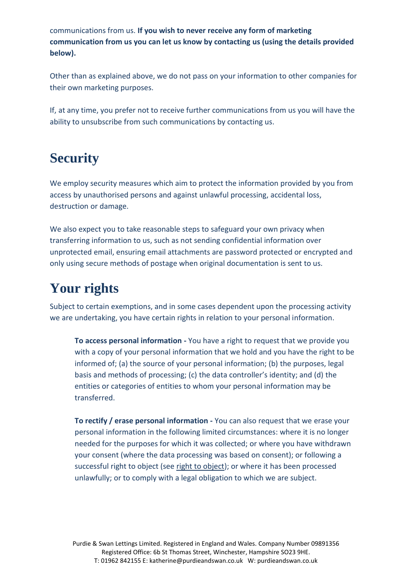communications from us. **If you wish to never receive any form of marketing communication from us you can let us know by contacting us (using the details provided below).**

Other than as explained above, we do not pass on your information to other companies for their own marketing purposes.

If, at any time, you prefer not to receive further communications from us you will have the ability to unsubscribe from such communications by contacting us.

### **Security**

We employ security measures which aim to protect the information provided by you from access by unauthorised persons and against unlawful processing, accidental loss, destruction or damage.

We also expect you to take reasonable steps to safeguard your own privacy when transferring information to us, such as not sending confidential information over unprotected email, ensuring email attachments are password protected or encrypted and only using secure methods of postage when original documentation is sent to us.

# **Your rights**

Subject to certain exemptions, and in some cases dependent upon the processing activity we are undertaking, you have certain rights in relation to your personal information.

**To access personal information -** You have a right to request that we provide you with a copy of your personal information that we hold and you have the right to be informed of; (a) the source of your personal information; (b) the purposes, legal basis and methods of processing; (c) the data controller's identity; and (d) the entities or categories of entities to whom your personal information may be transferred.

**To rectify / erase personal information -** You can also request that we erase your personal information in the following limited circumstances: where it is no longer needed for the purposes for which it was collected; or where you have withdrawn your consent (where the data processing was based on consent); or following a successful right to object (see right to object); or where it has been processed unlawfully; or to comply with a legal obligation to which we are subject.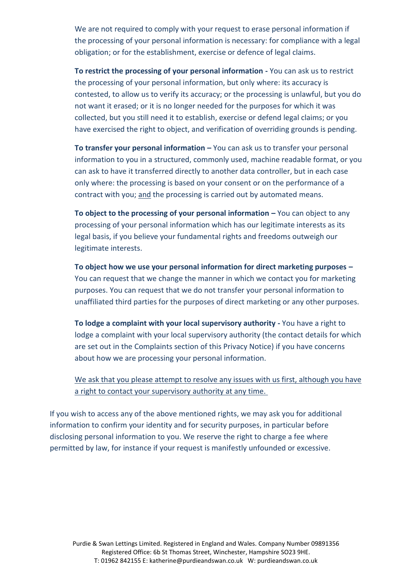We are not required to comply with your request to erase personal information if the processing of your personal information is necessary: for compliance with a legal obligation; or for the establishment, exercise or defence of legal claims.

**To restrict the processing of your personal information -** You can ask us to restrict the processing of your personal information, but only where: its accuracy is contested, to allow us to verify its accuracy; or the processing is unlawful, but you do not want it erased; or it is no longer needed for the purposes for which it was collected, but you still need it to establish, exercise or defend legal claims; or you have exercised the right to object, and verification of overriding grounds is pending.

**To transfer your personal information – You can ask us to transfer your personal** information to you in a structured, commonly used, machine readable format, or you can ask to have it transferred directly to another data controller, but in each case only where: the processing is based on your consent or on the performance of a contract with you; and the processing is carried out by automated means.

**To object to the processing of your personal information – You can object to any** processing of your personal information which has our legitimate interests as its legal basis, if you believe your fundamental rights and freedoms outweigh our legitimate interests.

**To object how we use your personal information for direct marketing purposes –** You can request that we change the manner in which we contact you for marketing purposes. You can request that we do not transfer your personal information to unaffiliated third parties for the purposes of direct marketing or any other purposes.

**To lodge a complaint with your local supervisory authority -** You have a right to lodge a complaint with your local supervisory authority (the contact details for which are set out in the Complaints section of this Privacy Notice) if you have concerns about how we are processing your personal information.

We ask that you please attempt to resolve any issues with us first, although you have a right to contact your supervisory authority at any time.

If you wish to access any of the above mentioned rights, we may ask you for additional information to confirm your identity and for security purposes, in particular before disclosing personal information to you. We reserve the right to charge a fee where permitted by law, for instance if your request is manifestly unfounded or excessive.